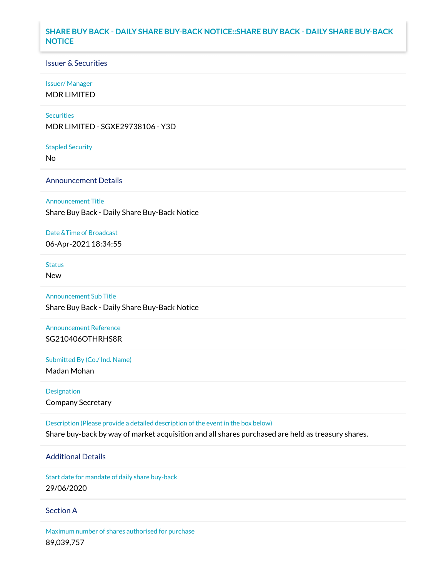## **SHARE BUY BACK - DAILY SHARE BUY-BACK NOTICE::SHARE BUY BACK - DAILY SHARE BUY-BACK NOTICE**

### Issuer & Securities

### Issuer/ Manager

MDR LIMITED

### **Securities**

MDR LIMITED - SGXE29738106 - Y3D

#### Stapled Security

No

## Announcement Details

#### Announcement Title

Share Buy Back - Daily Share Buy-Back Notice

### Date &Time of Broadcast

06-Apr-2021 18:34:55

# **Status**

New

## Announcement Sub Title

Share Buy Back - Daily Share Buy-Back Notice

# Announcement Reference SG210406OTHRHS8R

Submitted By (Co./ Ind. Name)

Madan Mohan

# Designation Company Secretary

Description (Please provide a detailed description of the event in the box below) Share buy-back by way of market acquisition and all shares purchased are held as treasury shares.

## Additional Details

Start date for mandate of daily share buy-back 29/06/2020

### Section A

Maximum number of shares authorised for purchase 89,039,757